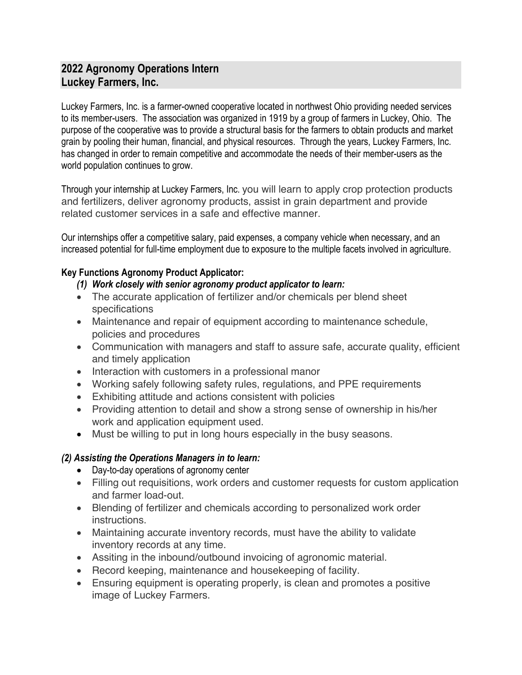# **2022 Agronomy Operations Intern Luckey Farmers, Inc.**

Luckey Farmers, Inc. is a farmer-owned cooperative located in northwest Ohio providing needed services to its member-users. The association was organized in 1919 by a group of farmers in Luckey, Ohio. The purpose of the cooperative was to provide a structural basis for the farmers to obtain products and market grain by pooling their human, financial, and physical resources. Through the years, Luckey Farmers, Inc. has changed in order to remain competitive and accommodate the needs of their member-users as the world population continues to grow.

Through your internship at Luckey Farmers, Inc. you will learn to apply crop protection products and fertilizers, deliver agronomy products, assist in grain department and provide related customer services in a safe and effective manner.

Our internships offer a competitive salary, paid expenses, a company vehicle when necessary, and an increased potential for full-time employment due to exposure to the multiple facets involved in agriculture.

## **Key Functions Agronomy Product Applicator:**

### *(1) Work closely with senior agronomy product applicator to learn:*

- The accurate application of fertilizer and/or chemicals per blend sheet specifications
- Maintenance and repair of equipment according to maintenance schedule, policies and procedures
- Communication with managers and staff to assure safe, accurate quality, efficient and timely application
- Interaction with customers in a professional manor
- Working safely following safety rules, regulations, and PPE requirements
- Exhibiting attitude and actions consistent with policies
- Providing attention to detail and show a strong sense of ownership in his/her work and application equipment used.
- Must be willing to put in long hours especially in the busy seasons.

### *(2) Assisting the Operations Managers in to learn:*

- Day-to-day operations of agronomy center
- Filling out requisitions, work orders and customer requests for custom application and farmer load-out.
- Blending of fertilizer and chemicals according to personalized work order instructions.
- Maintaining accurate inventory records, must have the ability to validate inventory records at any time.
- Assiting in the inbound/outbound invoicing of agronomic material.
- Record keeping, maintenance and housekeeping of facility.
- Ensuring equipment is operating properly, is clean and promotes a positive image of Luckey Farmers.